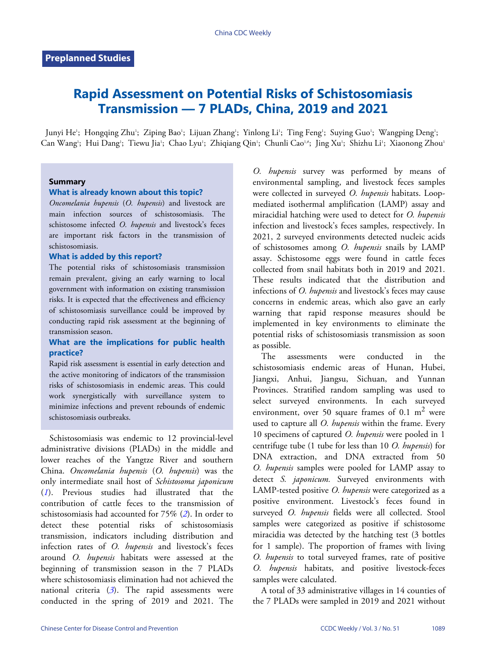# **Rapid Assessment on Potential Risks of Schistosomiasis Transmission — 7 PLADs, China, 2019 and 2021**

Junyi He'; Hongqing Zhu'; Ziping Bao'; Lijuan Zhang'; Yinlong Li'; Ting Feng'; Suying Guo'; Wangping Deng'; Can Wang'; Hui Dang'; Tiewu Jia'; Chao Lyu'; Zhiqiang Qin'; Chunli Cao'<sub>'</sub>\*; Jing Xu'; Shizhu Li'; Xiaonong Zhou'

### **Summary**

### **What is already known about this topic?**

*Oncomelania hupensis* (*O. hupensis*) and livestock are main infection sources of schistosomiasis. The schistosome infected *O. hupensis* and livestock's feces are important risk factors in the transmission of schistosomiasis.

#### **What is added by this report?**

The potential risks of schistosomiasis transmission remain prevalent, giving an early warning to local government with information on existing transmission risks. It is expected that the effectiveness and efficiency of schistosomiasis surveillance could be improved by conducting rapid risk assessment at the beginning of transmission season.

## **What are the implications for public health practice?**

Rapid risk assessment is essential in early detection and the active monitoring of indicators of the transmission risks of schistosomiasis in endemic areas. This could work synergistically with surveillance system to minimize infections and prevent rebounds of endemic schistosomiasis outbreaks.

Schistosomiasis was endemic to 12 provincial-level administrative divisions (PLADs) in the middle and lower reaches of the Yangtze River and southern China. *Oncomelania hupensis* (*O. hupensis*) was the only intermediate snail host of *Schistosoma japonicum* (*[1](#page-3-0)*). Previous studies had illustrated that the contribution of cattle feces to the transmission of schistosomiasis had accounted for 75% (*[2](#page-3-1)*). In order to detect these potential risks of schistosomiasis transmission, indicators including distribution and infection rates of *O. hupensis* and livestock's feces around *O. hupensis* habitats were assessed at the beginning of transmission season in the 7 PLADs where schistosomiasis elimination had not achieved the national criteria (*[3](#page-3-2)*). The rapid assessments were conducted in the spring of 2019 and 2021. The *O. hupensis* survey was performed by means of environmental sampling, and livestock feces samples were collected in surveyed *O. hupensis* habitats. Loopmediated isothermal amplification (LAMP) assay and miracidial hatching were used to detect for *O. hupensis* infection and livestock's feces samples, respectively. In 2021, 2 surveyed environments detected nucleic acids of schistosomes among *O. hupensis* snails by LAMP assay. Schistosome eggs were found in cattle feces collected from snail habitats both in 2019 and 2021. These results indicated that the distribution and infections of *O. hupensis* and livestock's feces may cause concerns in endemic areas, which also gave an early warning that rapid response measures should be implemented in key environments to eliminate the potential risks of schistosomiasis transmission as soon as possible.

The assessments were conducted in the schistosomiasis endemic areas of Hunan, Hubei, Jiangxi, Anhui, Jiangsu, Sichuan, and Yunnan Provinces. Stratified random sampling was used to select surveyed environments. In each surveyed environment, over 50 square frames of  $0.1 \text{ m}^2$  were used to capture all *O. hupensis* within the frame. Every 10 specimens of captured *O. hupensis* were pooled in 1 centrifuge tube (1 tube for less than 10 *O. hupensis*) for DNA extraction, and DNA extracted from 50 *O. hupensis* samples were pooled for LAMP assay to detect *S. japonicum.* Surveyed environments with LAMP-tested positive *O. hupensis* were categorized as a positive environment. Livestock's feces found in surveyed *O. hupensis* fields were all collected. Stool samples were categorized as positive if schistosome miracidia was detected by the hatching test (3 bottles for 1 sample). The proportion of frames with living *O. hupensis* to total surveyed frames, rate of positive *O. hupensis* habitats, and positive livestock-feces samples were calculated.

A total of 33 administrative villages in 14 counties of the 7 PLADs were sampled in 2019 and 2021 without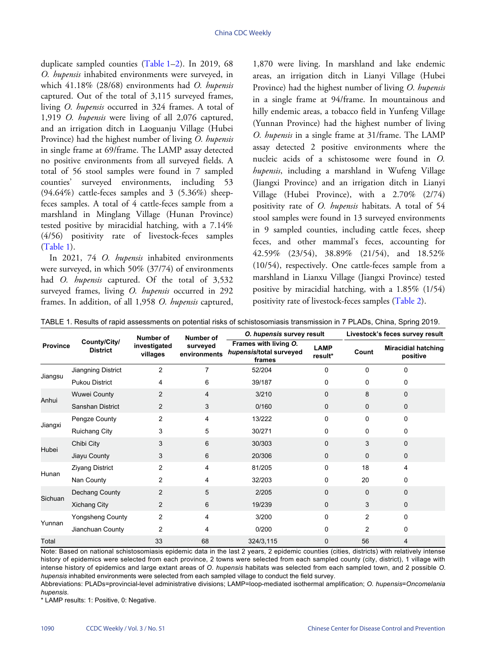duplicate sampled counties ([Table 1](#page-1-0)–[2](#page-2-0)). In 2019, 68 *O. hupensis* inhabited environments were surveyed, in which 41.18% (28/68) environments had *O. hupensis* captured. Out of the total of 3,115 surveyed frames, living *O. hupensis* occurred in 324 frames. A total of 1,919 *O. hupensis* were living of all 2,076 captured, and an irrigation ditch in Laoguanju Village (Hubei Province) had the highest number of living *O. hupensis* in single frame at 69/frame. The LAMP assay detected no positive environments from all surveyed fields. A total of 56 stool samples were found in 7 sampled counties' surveyed environments, including 53  $(94.64\%)$  cattle-feces samples and 3  $(5.36\%)$  sheepfeces samples. A total of 4 cattle-feces sample from a marshland in Minglang Village (Hunan Province) tested positive by miracidial hatching, with a 7.14% (4/56) positivity rate of livestock-feces samples ([Table 1](#page-1-0)).

In 2021, 74 *O. hupensis* inhabited environments were surveyed, in which 50% (37/74) of environments had *O. hupensis* captured. Of the total of 3,532 surveyed frames, living *O. hupensis* occurred in 292 frames. In addition, of all 1,958 *O. hupensis* captured, 1,870 were living. In marshland and lake endemic areas, an irrigation ditch in Lianyi Village (Hubei Province) had the highest number of living *O. hupensis* in a single frame at 94/frame. In mountainous and hilly endemic areas, a tobacco field in Yunfeng Village (Yunnan Province) had the highest number of living *O. hupensis* in a single frame at 31/frame. The LAMP assay detected 2 positive environments where the nucleic acids of a schistosome were found in *O. hupensis*, including a marshland in Wufeng Village (Jiangxi Province) and an irrigation ditch in Lianyi Village (Hubei Province), with a 2.70% (2/74) positivity rate of *O. hupensis* habitats. A total of 54 stool samples were found in 13 surveyed environments in 9 sampled counties, including cattle feces, sheep feces, and other mammal's feces, accounting for 42.59% (23/54), 38.89% (21/54), and 18.52% (10/54), respectively. One cattle-feces sample from a marshland in Lianxu Village (Jiangxi P[rovince\)](#page-2-0) tested positive by miracidial hatching, with a 1.85% (1/54) positivity rate of livestock-feces samples [\(Table 2\)](#page-2-0).

<span id="page-1-0"></span>

| TABLE 1. Results of rapid assessments on potential risks of schistosomiasis transmission in 7 PLADs, China, Spring 2019. |  |  |  |  |  |  |  |  |
|--------------------------------------------------------------------------------------------------------------------------|--|--|--|--|--|--|--|--|
|--------------------------------------------------------------------------------------------------------------------------|--|--|--|--|--|--|--|--|

|                 | County/City/<br><b>District</b> | Number of<br>investigated<br>villages | <b>Number of</b><br>surveyed<br>environments | O. hupensis survey result                                  |                        | Livestock's feces survey result |                                        |
|-----------------|---------------------------------|---------------------------------------|----------------------------------------------|------------------------------------------------------------|------------------------|---------------------------------|----------------------------------------|
| <b>Province</b> |                                 |                                       |                                              | Frames with living O.<br>hupensis/total surveyed<br>frames | <b>LAMP</b><br>result* | Count                           | <b>Miracidial hatching</b><br>positive |
| Jiangsu         | Jiangning District              | $\overline{c}$                        | 7                                            | 52/204                                                     | $\Omega$               | $\mathbf 0$                     | 0                                      |
|                 | Pukou District                  | 4                                     | 6                                            | 39/187                                                     | $\mathbf{0}$           | $\Omega$                        | 0                                      |
| Anhui           | Wuwei County                    | $\overline{2}$                        | 4                                            | 3/210                                                      | $\Omega$               | 8                               | 0                                      |
|                 | Sanshan District                | 2                                     | 3                                            | 0/160                                                      | $\mathbf 0$            | $\mathbf 0$                     | 0                                      |
| Jiangxi         | Pengze County                   | $\overline{2}$                        | $\overline{4}$                               | 13/222                                                     | $\Omega$               | $\mathbf 0$                     | 0                                      |
|                 | <b>Ruichang City</b>            | 3                                     | 5                                            | 30/271                                                     | 0                      | 0                               | 0                                      |
| Hubei           | Chibi City                      | 3                                     | 6                                            | 30/303                                                     | $\Omega$               | 3                               | $\Omega$                               |
|                 | Jiayu County                    | 3                                     | 6                                            | 20/306                                                     | $\mathbf 0$            | $\mathbf 0$                     | 0                                      |
| Hunan           | <b>Ziyang District</b>          | $\overline{c}$                        | 4                                            | 81/205                                                     | $\Omega$               | 18                              | 4                                      |
|                 | Nan County                      | $\overline{c}$                        | 4                                            | 32/203                                                     | 0                      | 20                              | 0                                      |
| Sichuan         | Dechang County                  | $\overline{2}$                        | 5                                            | 2/205                                                      | $\Omega$               | $\mathbf{0}$                    | 0                                      |
|                 | <b>Xichang City</b>             | $\overline{2}$                        | 6                                            | 19/239                                                     | $\mathbf{0}$           | 3                               | 0                                      |
| Yunnan          | <b>Yongsheng County</b>         | $\overline{c}$                        | 4                                            | 3/200                                                      | $\mathbf{0}$           | $\overline{2}$                  | 0                                      |
|                 | Jianchuan County                | $\overline{2}$                        | 4                                            | 0/200                                                      | <sup>0</sup>           | 2                               | 0                                      |
| Total           |                                 | 33                                    | 68                                           | 324/3,115                                                  | $\mathbf 0$            | 56                              | 4                                      |

Note: Based on national schistosomiasis epidemic data in the last 2 years, 2 epidemic counties (cities, districts) with relatively intense history of epidemics were selected from each province, 2 towns were selected from each sampled county (city, district), 1 village with intense history of epidemics and large extant areas of *O. hupensis* habitats was selected from each sampled town, and 2 possible *O. hupensis* inhabited environments were selected from each sampled village to conduct the field survey.

Abbreviations: PLADs=provincial-level administrative divisions; LAMP=loop-mediated isothermal amplification; *O. hupensis*=*Oncomelania hupensis*.

\* LAMP results: 1: Positive, 0: Negative.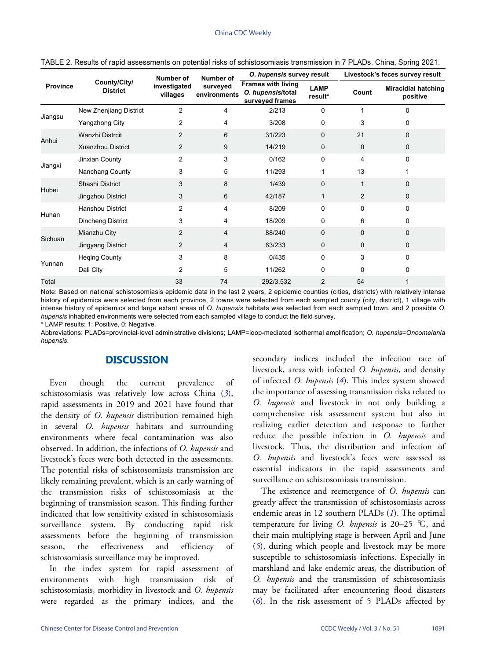| <b>Province</b> | County/City/<br><b>District</b> | Number of<br>investigated<br>villages | Number of<br>surveyed<br>environments | O. hupensis survey result                                         |                        | Livestock's feces survey result |                                        |
|-----------------|---------------------------------|---------------------------------------|---------------------------------------|-------------------------------------------------------------------|------------------------|---------------------------------|----------------------------------------|
|                 |                                 |                                       |                                       | <b>Frames with living</b><br>O. hupensis/total<br>surveyed frames | <b>LAMP</b><br>result* | Count                           | <b>Miracidial hatching</b><br>positive |
| Jiangsu         | New Zhenjiang District          | 2                                     | 4                                     | 2/213                                                             | 0                      |                                 | 0                                      |
|                 | <b>Yangzhong City</b>           | 2                                     | 4                                     | 3/208                                                             | 0                      | 3                               | 0                                      |
| Anhui           | Wanzhi Distrcit                 | $\overline{2}$                        | 6                                     | 31/223                                                            | 0                      | 21                              | $\Omega$                               |
|                 | Xuanzhou District               | $\overline{2}$                        | 9                                     | 14/219                                                            | $\mathbf 0$            | $\mathbf 0$                     | $\mathbf 0$                            |
| Jiangxi         | Jinxian County                  | 2                                     | 3                                     | 0/162                                                             | 0                      | 4                               | 0                                      |
|                 | Nanchang County                 | 3                                     | 5                                     | 11/293                                                            | 1                      | 13                              |                                        |
| Hubei           | Shashi District                 | 3                                     | 8                                     | 1/439                                                             | 0                      | 1                               | $\Omega$                               |
|                 | Jingzhou District               | 3                                     | 6                                     | 42/187                                                            | 1                      | 2                               | $\Omega$                               |
| Hunan           | Hanshou District                | $\overline{c}$                        | 4                                     | 8/209                                                             | 0                      | $\mathbf 0$                     | $\Omega$                               |
|                 | Dincheng District               | 3                                     | 4                                     | 18/209                                                            | 0                      | 6                               | 0                                      |
| Sichuan         | Mianzhu City                    | 2                                     | 4                                     | 88/240                                                            | 0                      | $\Omega$                        | $\Omega$                               |
|                 | Jingyang District               | 2                                     | 4                                     | 63/233                                                            | $\mathbf 0$            | $\mathbf 0$                     | $\mathbf 0$                            |
| Yunnan          | <b>Heqing County</b>            | 3                                     | 8                                     | 0/435                                                             | 0                      | 3                               | $\Omega$                               |
|                 | Dali City                       | 2                                     | 5                                     | 11/262                                                            | 0                      | $\Omega$                        | 0                                      |
| Total           |                                 | 33                                    | 74                                    | 292/3,532                                                         | 2                      | 54                              |                                        |

<span id="page-2-0"></span>TABLE 2. Results of rapid assessments on potential risks of schistosomiasis transmission in 7 PLADs, China, Spring 2021.

Note: Based on national schistosomiasis epidemic data in the last 2 years, 2 epidemic counties (cities, districts) with relatively intense history of epidemics were selected from each province, 2 towns were selected from each sampled county (city, district), 1 village with intense history of epidemics and large extant areas of *O. hupensis* habitats was selected from each sampled town, and 2 possible *O. hupensis* inhabited environments were selected from each sampled village to conduct the field survey.

\* LAMP results: 1: Positive, 0: Negative.

Abbreviations: PLADs=provincial-level administrative divisions; LAMP=loop-mediated isothermal amplification; *O. hupensis*=*Oncomelania hupensis*.

## **DISCUSSION**

Even though the current prevalence of schistosomiasis was relatively low across China (*[3](#page-3-2)*), rapid assessments in 2019 and 2021 have found that the density of *O. hupensis* distribution remained high in several *O. hupensis* habitats and surrounding environments where fecal contamination was also observed. In addition, the infections of *O. hupensis* and livestock's feces were both detected in the assessments. The potential risks of schistosomiasis transmission are likely remaining prevalent, which is an early warning of the transmission risks of schistosomiasis at the beginning of transmission season. This finding further indicated that low sensitivity existed in schistosomiasis surveillance system. By conducting rapid risk assessments before the beginning of transmission season, the effectiveness and efficiency of schistosomiasis surveillance may be improved.

In the index system for rapid assessment of environments with high transmission risk of schistosomiasis, morbidity in livestock and *O. hupensis* were regarded as the primary indices, and the

secondary indices included the infection rate of livestock, areas with infected *O. hupensis*, and density of infected *O. hupensis* (*[4](#page-3-3)*). This index system showed the importance of assessing transmission risks related to *O. hupensis* and livestock in not only building a comprehensive risk assessment system but also in realizing earlier detection and response to further reduce the possible infection in *O. hupensis* and livestock. Thus, the distribution and infection of *O. hupensis* and livestock's feces were assessed as essential indicators in the rapid assessments and surveillance on schistosomiasis transmission.

The existence and reemergence of *O. hupensis* can greatly affect the transmission of schist[o](#page-3-0)somiasis across endemic areas in 12 southern PLADs (*[1](#page-3-0)*). The optimal temperature for living *O. hupensis* is 20–25 ℃, and t[he](#page-3-4)ir main multiplying stage is between April and June (*[5](#page-3-4)*), during which people and livestock may be more susceptible to schistosomiasis infections. Especially in marshland and lake endemic areas, the distribution of *O. hupensis* and the transmission of schistosomiasis [ma](#page-3-5)y be facilitated after encountering flood disasters (*[6](#page-3-5)*). In the risk assessment of 5 PLADs affected by